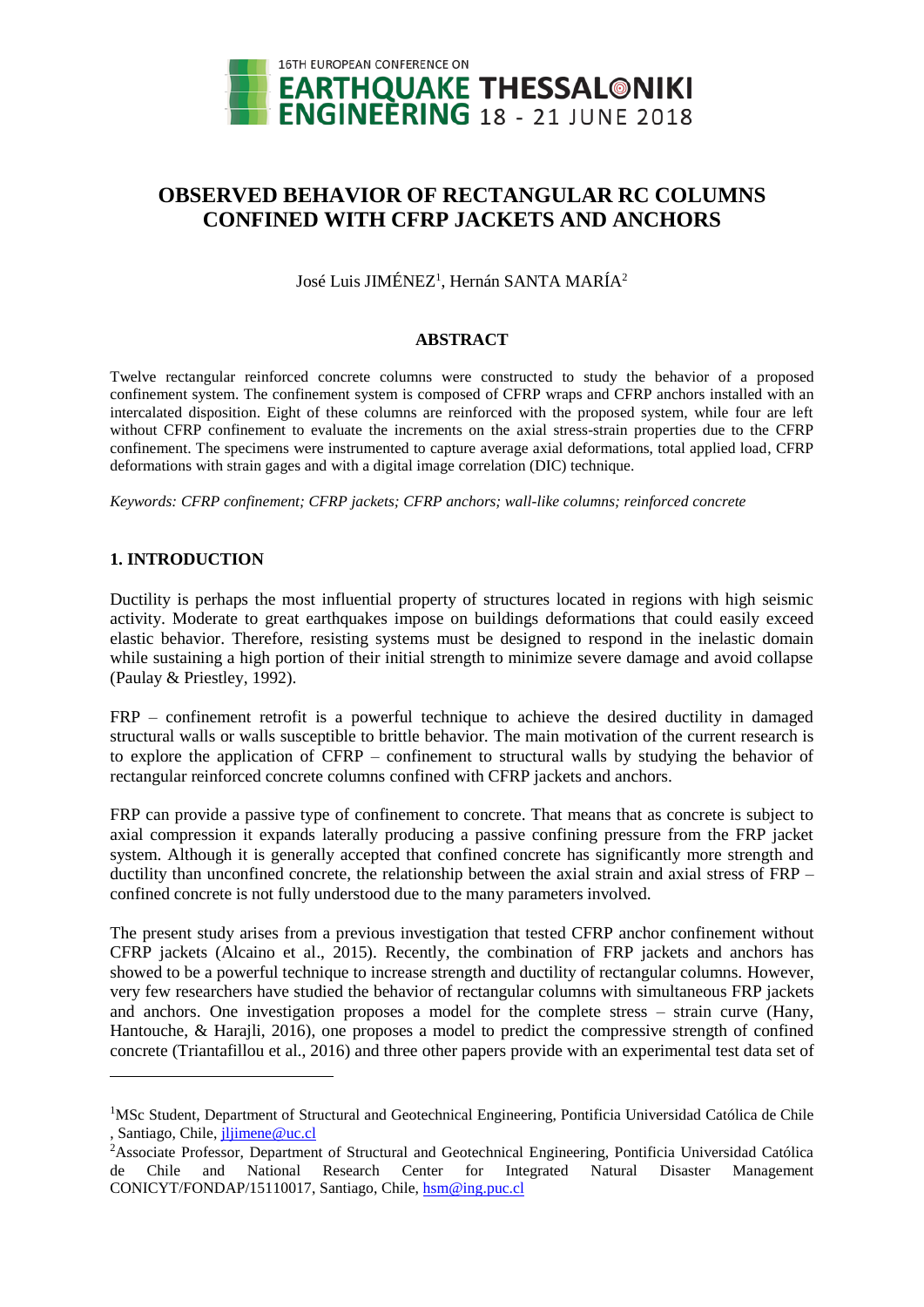

# **OBSERVED BEHAVIOR OF RECTANGULAR RC COLUMNS CONFINED WITH CFRP JACKETS AND ANCHORS**

José Luis JIMÉNEZ<sup>1</sup>, Hernán SANTA MARÍA<sup>2</sup>

### **ABSTRACT**

Twelve rectangular reinforced concrete columns were constructed to study the behavior of a proposed confinement system. The confinement system is composed of CFRP wraps and CFRP anchors installed with an intercalated disposition. Eight of these columns are reinforced with the proposed system, while four are left without CFRP confinement to evaluate the increments on the axial stress-strain properties due to the CFRP confinement. The specimens were instrumented to capture average axial deformations, total applied load, CFRP deformations with strain gages and with a digital image correlation (DIC) technique.

*Keywords: CFRP confinement; CFRP jackets; CFRP anchors; wall-like columns; reinforced concrete*

# **1. INTRODUCTION**

 $\overline{a}$ 

Ductility is perhaps the most influential property of structures located in regions with high seismic activity. Moderate to great earthquakes impose on buildings deformations that could easily exceed elastic behavior. Therefore, resisting systems must be designed to respond in the inelastic domain while sustaining a high portion of their initial strength to minimize severe damage and avoid collapse (Paulay & Priestley, 1992).

FRP – confinement retrofit is a powerful technique to achieve the desired ductility in damaged structural walls or walls susceptible to brittle behavior. The main motivation of the current research is to explore the application of CFRP – confinement to structural walls by studying the behavior of rectangular reinforced concrete columns confined with CFRP jackets and anchors.

FRP can provide a passive type of confinement to concrete. That means that as concrete is subject to axial compression it expands laterally producing a passive confining pressure from the FRP jacket system. Although it is generally accepted that confined concrete has significantly more strength and ductility than unconfined concrete, the relationship between the axial strain and axial stress of FRP – confined concrete is not fully understood due to the many parameters involved.

The present study arises from a previous investigation that tested CFRP anchor confinement without CFRP jackets (Alcaino et al., 2015). Recently, the combination of FRP jackets and anchors has showed to be a powerful technique to increase strength and ductility of rectangular columns. However, very few researchers have studied the behavior of rectangular columns with simultaneous FRP jackets and anchors. One investigation proposes a model for the complete stress – strain curve (Hany, Hantouche, & Harajli, 2016), one proposes a model to predict the compressive strength of confined concrete (Triantafillou et al., 2016) and three other papers provide with an experimental test data set of

<sup>&</sup>lt;sup>1</sup>MSc Student, Department of Structural and Geotechnical Engineering, Pontificia Universidad Católica de Chile , Santiago, Chile[, jljimene@uc.cl](mailto:jljimene@uc.cl)

<sup>2</sup>Associate Professor, Department of Structural and Geotechnical Engineering, Pontificia Universidad Católica de Chile and National Research Center for Integrated Natural Disaster Management CONICYT/FONDAP/15110017, Santiago, Chile[, hsm@ing.puc.cl](mailto:hsm@ing.puc.cl)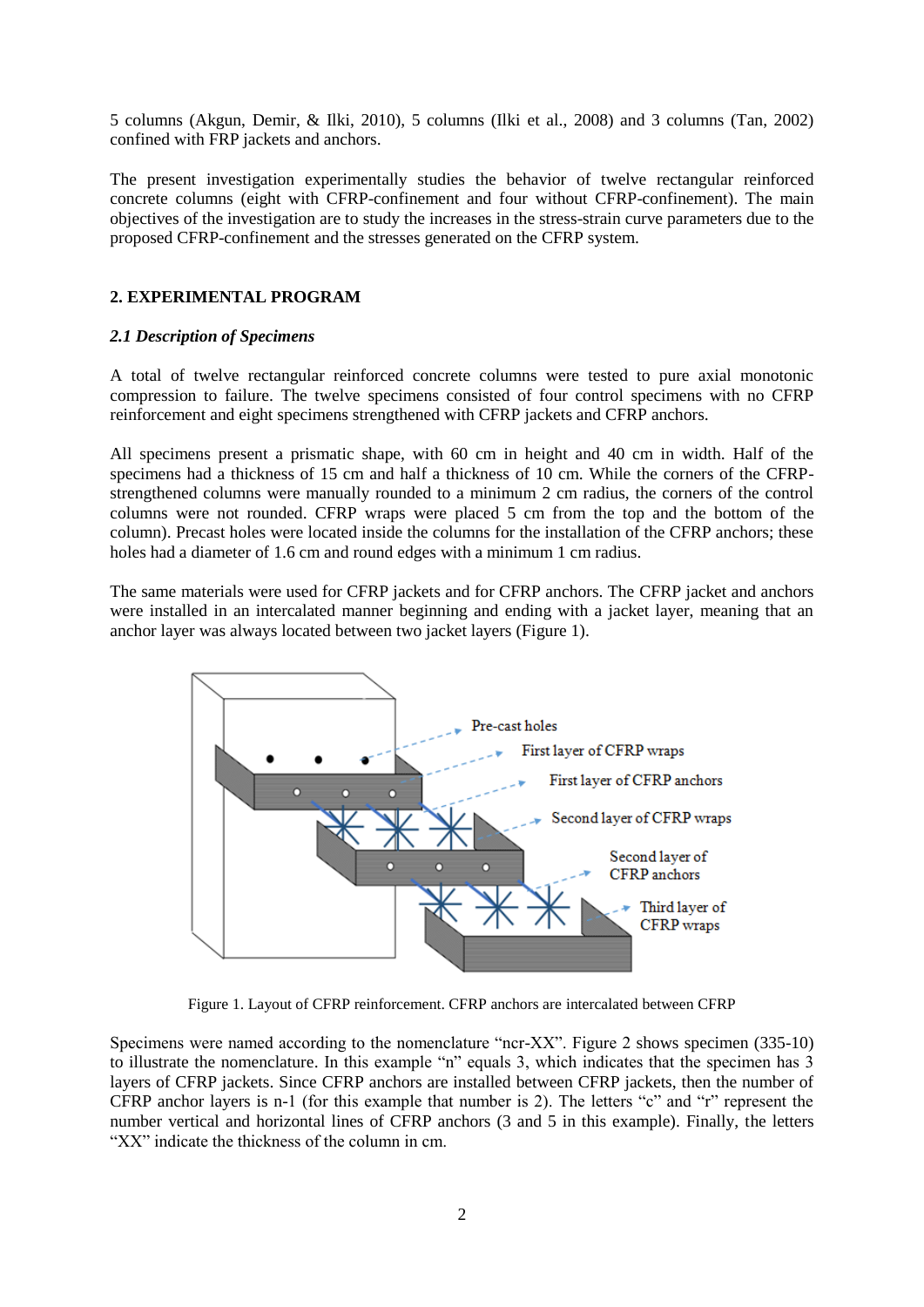5 columns (Akgun, Demir, & Ilki, 2010), 5 columns (Ilki et al., 2008) and 3 columns (Tan, 2002) confined with FRP jackets and anchors.

The present investigation experimentally studies the behavior of twelve rectangular reinforced concrete columns (eight with CFRP-confinement and four without CFRP-confinement). The main objectives of the investigation are to study the increases in the stress-strain curve parameters due to the proposed CFRP-confinement and the stresses generated on the CFRP system.

# **2. EXPERIMENTAL PROGRAM**

## *2.1 Description of Specimens*

A total of twelve rectangular reinforced concrete columns were tested to pure axial monotonic compression to failure. The twelve specimens consisted of four control specimens with no CFRP reinforcement and eight specimens strengthened with CFRP jackets and CFRP anchors.

All specimens present a prismatic shape, with 60 cm in height and 40 cm in width. Half of the specimens had a thickness of 15 cm and half a thickness of 10 cm. While the corners of the CFRPstrengthened columns were manually rounded to a minimum 2 cm radius, the corners of the control columns were not rounded. CFRP wraps were placed 5 cm from the top and the bottom of the column). Precast holes were located inside the columns for the installation of the CFRP anchors; these holes had a diameter of 1.6 cm and round edges with a minimum 1 cm radius.

The same materials were used for CFRP jackets and for CFRP anchors. The CFRP jacket and anchors were installed in an intercalated manner beginning and ending with a jacket layer, meaning that an anchor layer was always located between two jacket layers (Figure 1).



Figure 1. Layout of CFRP reinforcement. CFRP anchors are intercalated between CFRP

Specimens were named according to the nomenclature "ncr-XX". Figure 2 shows specimen (335-10) to illustrate the nomenclature. In this example "n" equals 3, which indicates that the specimen has 3 layers of CFRP jackets. Since CFRP anchors are installed between CFRP jackets, then the number of CFRP anchor layers is n-1 (for this example that number is 2). The letters "c" and "r" represent the number vertical and horizontal lines of CFRP anchors (3 and 5 in this example). Finally, the letters "XX" indicate the thickness of the column in cm.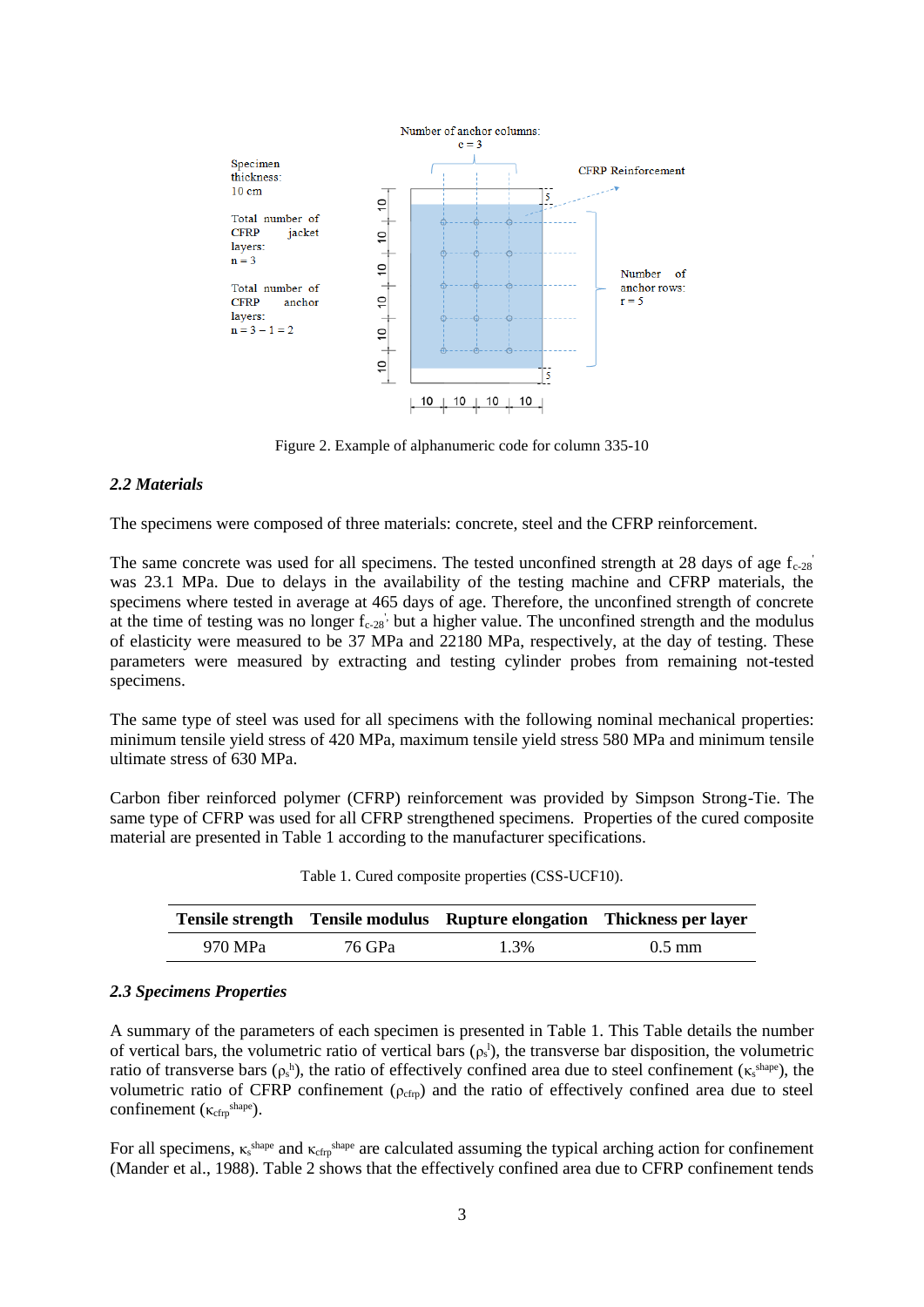

Figure 2. Example of alphanumeric code for column 335-10

### *2.2 Materials*

The specimens were composed of three materials: concrete, steel and the CFRP reinforcement.

The same concrete was used for all specimens. The tested unconfined strength at 28 days of age  $f_{c-28}$ was 23.1 MPa. Due to delays in the availability of the testing machine and CFRP materials, the specimens where tested in average at 465 days of age. Therefore, the unconfined strength of concrete at the time of testing was no longer  $f_{c-28}$ , but a higher value. The unconfined strength and the modulus of elasticity were measured to be 37 MPa and 22180 MPa, respectively, at the day of testing. These parameters were measured by extracting and testing cylinder probes from remaining not-tested specimens.

The same type of steel was used for all specimens with the following nominal mechanical properties: minimum tensile yield stress of 420 MPa, maximum tensile yield stress 580 MPa and minimum tensile ultimate stress of 630 MPa.

Carbon fiber reinforced polymer (CFRP) reinforcement was provided by Simpson Strong-Tie. The same type of CFRP was used for all CFRP strengthened specimens. Properties of the cured composite material are presented in Table 1 according to the manufacturer specifications.

| Tensile strength Tensile modulus Rupture elongation Thickness per layer |        |      |                  |  |  |
|-------------------------------------------------------------------------|--------|------|------------------|--|--|
| 970 MPa                                                                 | 76 GPa | 1.3% | $0.5 \text{ mm}$ |  |  |

Table 1. Cured composite properties (CSS-UCF10).

#### *2.3 Specimens Properties*

A summary of the parameters of each specimen is presented in Table 1. This Table details the number of vertical bars, the volumetric ratio of vertical bars  $(\rho_s)$ , the transverse bar disposition, the volumetric ratio of transverse bars  $(\rho_s^h)$ , the ratio of effectively confined area due to steel confinement ( $\kappa_s^{\text{shape}}$ ), the volumetric ratio of CFRP confinement ( $\rho_{cfrp}$ ) and the ratio of effectively confined area due to steel confinement  $(\kappa_{\text{cfrp}}^{\text{shape}})$ .

For all specimens,  $\kappa$ <sup>shape</sup> and  $\kappa$ <sub>cfrp</sub><sup>shape</sup> are calculated assuming the typical arching action for confinement (Mander et al., 1988). Table 2 shows that the effectively confined area due to CFRP confinement tends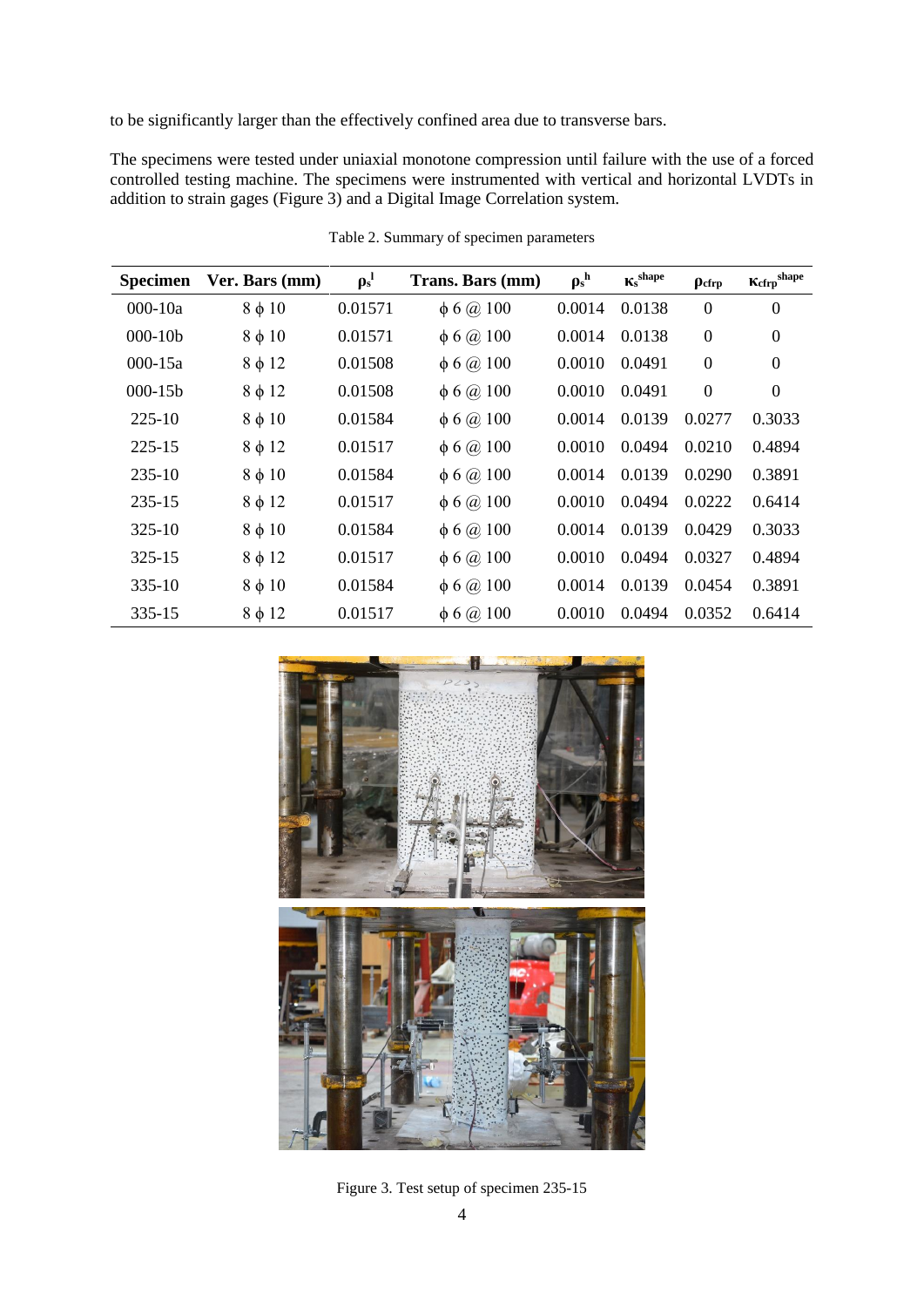to be significantly larger than the effectively confined area due to transverse bars.

The specimens were tested under uniaxial monotone compression until failure with the use of a forced controlled testing machine. The specimens were instrumented with vertical and horizontal LVDTs in addition to strain gages (Figure 3) and a Digital Image Correlation system.

| <b>Specimen</b> | Ver. Bars (mm) | $\rho_s^l$ | Trans. Bars (mm)      | $\rho_s^{\ h}$ | $K_{s}^{shape}$ | $\rho_{\rm cfrp}$ | $\mathbf{K}_{\text{cfrp}}^{\text{shape}}$ |
|-----------------|----------------|------------|-----------------------|----------------|-----------------|-------------------|-------------------------------------------|
| $000 - 10a$     | $8 \phi 10$    | 0.01571    | $\phi$ 6 $\omega$ 100 | 0.0014         | 0.0138          | $\overline{0}$    | $\overline{0}$                            |
| $000-10b$       | $8 \phi 10$    | 0.01571    | $\phi$ 6 $\omega$ 100 | 0.0014         | 0.0138          | $\boldsymbol{0}$  | $\theta$                                  |
| $000 - 15a$     | $8 \phi 12$    | 0.01508    | $\phi$ 6 $\omega$ 100 | 0.0010         | 0.0491          | $\boldsymbol{0}$  | $\theta$                                  |
| $000 - 15b$     | $8 \phi 12$    | 0.01508    | $\phi$ 6 $\omega$ 100 | 0.0010         | 0.0491          | $\boldsymbol{0}$  | $\theta$                                  |
| 225-10          | $8 \phi 10$    | 0.01584    | $\phi$ 6 $\omega$ 100 | 0.0014         | 0.0139          | 0.0277            | 0.3033                                    |
| 225-15          | $8 \phi 12$    | 0.01517    | $\phi$ 6 $\omega$ 100 | 0.0010         | 0.0494          | 0.0210            | 0.4894                                    |
| $235-10$        | $8 \phi 10$    | 0.01584    | $\phi$ 6 $\omega$ 100 | 0.0014         | 0.0139          | 0.0290            | 0.3891                                    |
| 235-15          | $8 \phi 12$    | 0.01517    | $\phi$ 6 $\omega$ 100 | 0.0010         | 0.0494          | 0.0222            | 0.6414                                    |
| $325-10$        | $8 \phi 10$    | 0.01584    | $\phi$ 6 $\omega$ 100 | 0.0014         | 0.0139          | 0.0429            | 0.3033                                    |
| 325-15          | $8 \phi 12$    | 0.01517    | $\phi$ 6 $\omega$ 100 | 0.0010         | 0.0494          | 0.0327            | 0.4894                                    |
| $335-10$        | $8 \phi 10$    | 0.01584    | $\phi$ 6 $\omega$ 100 | 0.0014         | 0.0139          | 0.0454            | 0.3891                                    |
| 335-15          | $8 \phi 12$    | 0.01517    | $\phi$ 6 @ 100        | 0.0010         | 0.0494          | 0.0352            | 0.6414                                    |

Table 2. Summary of specimen parameters



Figure 3. Test setup of specimen 235-15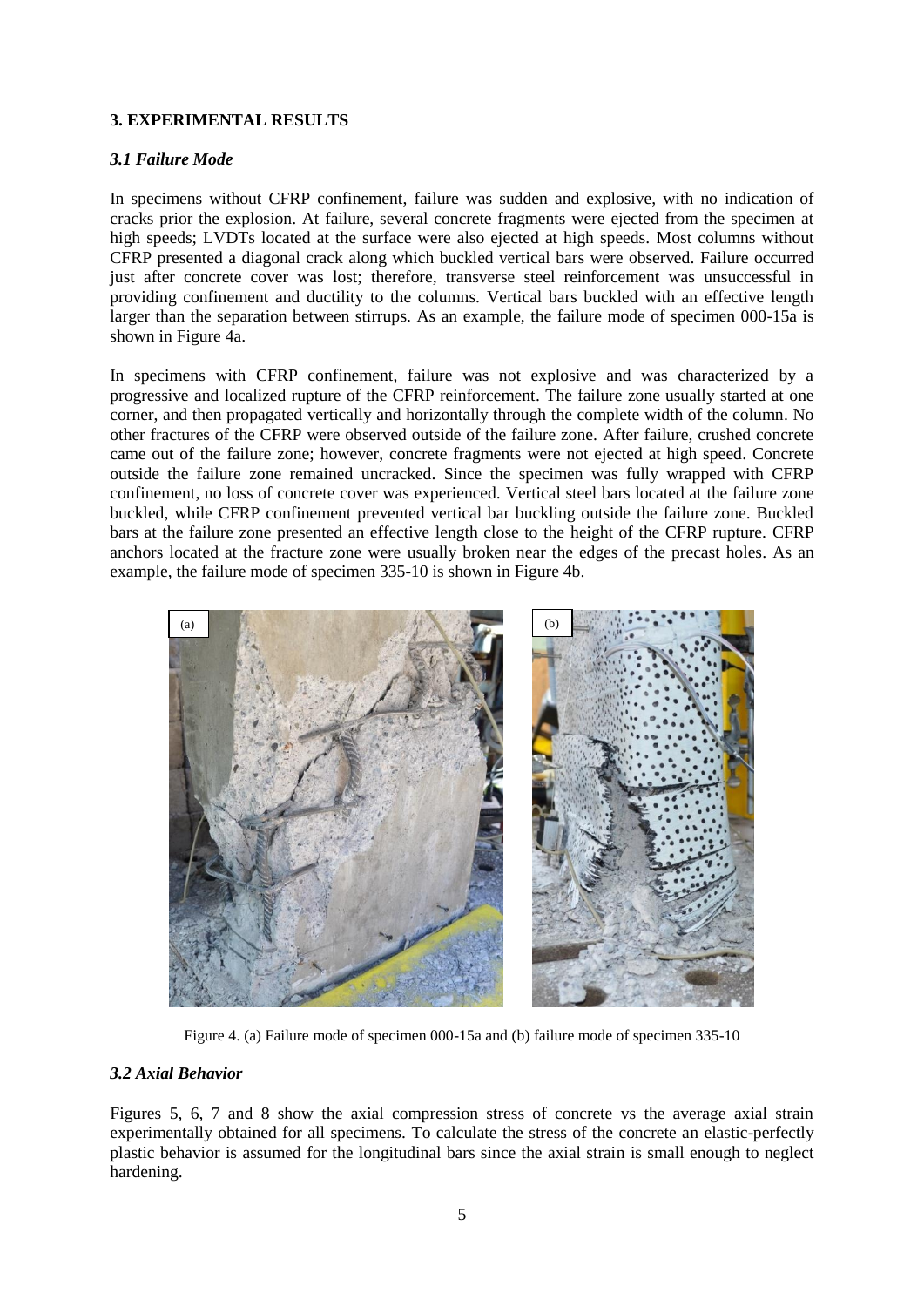# **3. EXPERIMENTAL RESULTS**

## *3.1 Failure Mode*

In specimens without CFRP confinement, failure was sudden and explosive, with no indication of cracks prior the explosion. At failure, several concrete fragments were ejected from the specimen at high speeds; LVDTs located at the surface were also ejected at high speeds. Most columns without CFRP presented a diagonal crack along which buckled vertical bars were observed. Failure occurred just after concrete cover was lost; therefore, transverse steel reinforcement was unsuccessful in providing confinement and ductility to the columns. Vertical bars buckled with an effective length larger than the separation between stirrups. As an example, the failure mode of specimen 000-15a is shown in Figure 4a.

In specimens with CFRP confinement, failure was not explosive and was characterized by a progressive and localized rupture of the CFRP reinforcement. The failure zone usually started at one corner, and then propagated vertically and horizontally through the complete width of the column. No other fractures of the CFRP were observed outside of the failure zone. After failure, crushed concrete came out of the failure zone; however, concrete fragments were not ejected at high speed. Concrete outside the failure zone remained uncracked. Since the specimen was fully wrapped with CFRP confinement, no loss of concrete cover was experienced. Vertical steel bars located at the failure zone buckled, while CFRP confinement prevented vertical bar buckling outside the failure zone. Buckled bars at the failure zone presented an effective length close to the height of the CFRP rupture. CFRP anchors located at the fracture zone were usually broken near the edges of the precast holes. As an example, the failure mode of specimen 335-10 is shown in Figure 4b.



Figure 4. (a) Failure mode of specimen 000-15a and (b) failure mode of specimen 335-10

## *3.2 Axial Behavior*

Figures 5, 6, 7 and 8 show the axial compression stress of concrete vs the average axial strain experimentally obtained for all specimens. To calculate the stress of the concrete an elastic-perfectly plastic behavior is assumed for the longitudinal bars since the axial strain is small enough to neglect hardening.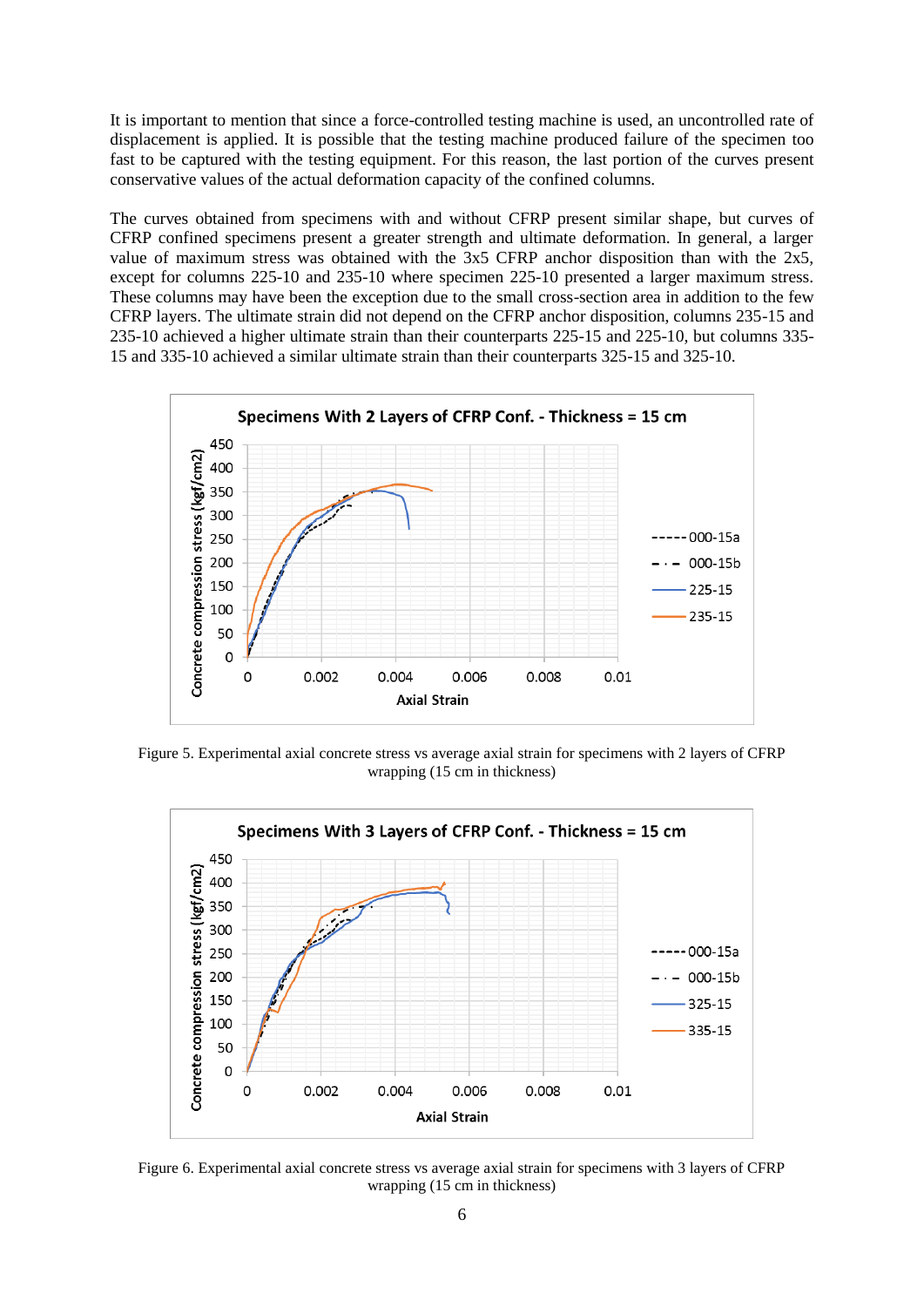It is important to mention that since a force-controlled testing machine is used, an uncontrolled rate of displacement is applied. It is possible that the testing machine produced failure of the specimen too fast to be captured with the testing equipment. For this reason, the last portion of the curves present conservative values of the actual deformation capacity of the confined columns.

The curves obtained from specimens with and without CFRP present similar shape, but curves of CFRP confined specimens present a greater strength and ultimate deformation. In general, a larger value of maximum stress was obtained with the 3x5 CFRP anchor disposition than with the 2x5, except for columns 225-10 and 235-10 where specimen 225-10 presented a larger maximum stress. These columns may have been the exception due to the small cross-section area in addition to the few CFRP layers. The ultimate strain did not depend on the CFRP anchor disposition, columns 235-15 and 235-10 achieved a higher ultimate strain than their counterparts 225-15 and 225-10, but columns 335- 15 and 335-10 achieved a similar ultimate strain than their counterparts 325-15 and 325-10.



Figure 5. Experimental axial concrete stress vs average axial strain for specimens with 2 layers of CFRP wrapping (15 cm in thickness)



Figure 6. Experimental axial concrete stress vs average axial strain for specimens with 3 layers of CFRP wrapping (15 cm in thickness)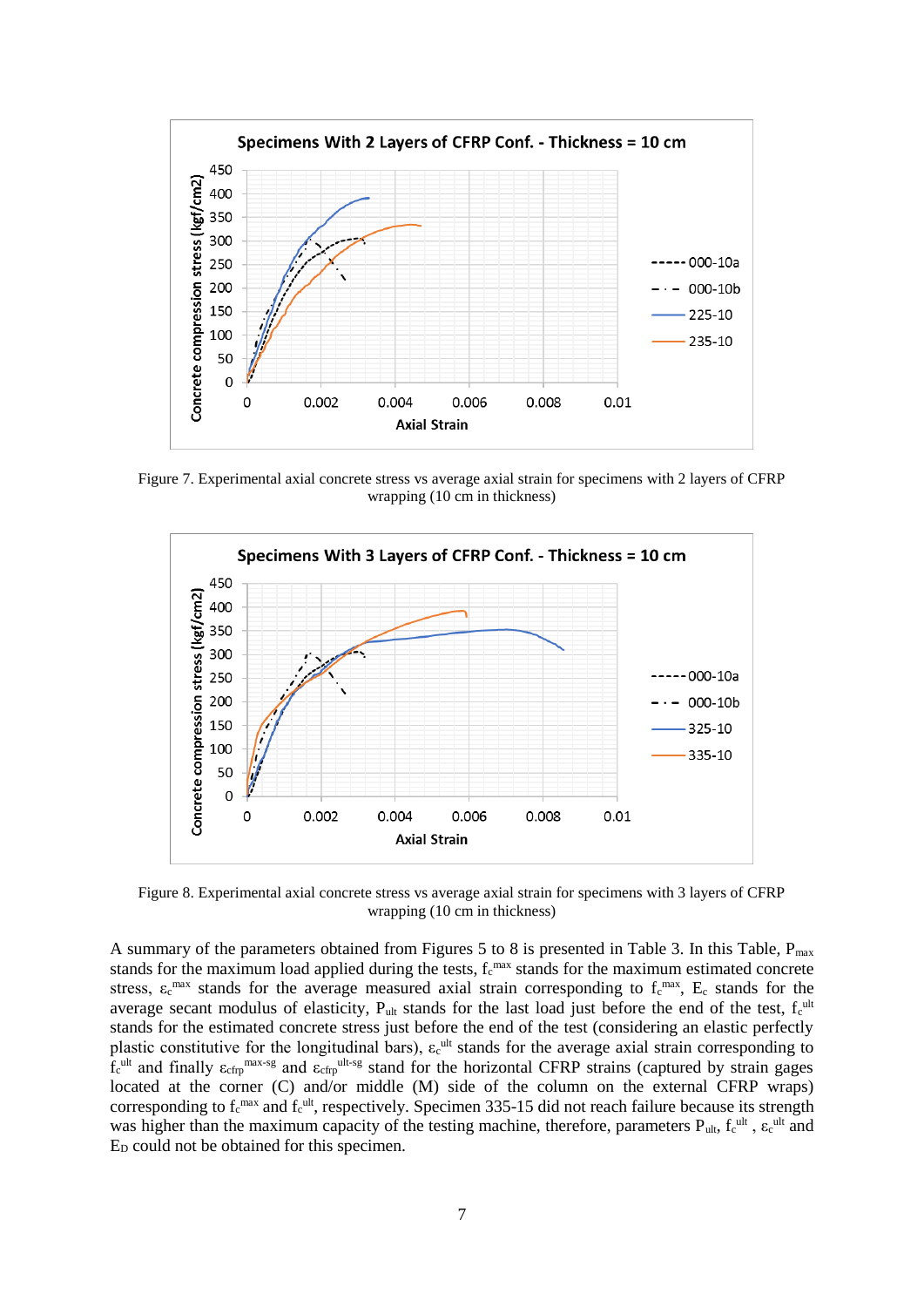

Figure 7. Experimental axial concrete stress vs average axial strain for specimens with 2 layers of CFRP wrapping (10 cm in thickness)



Figure 8. Experimental axial concrete stress vs average axial strain for specimens with 3 layers of CFRP wrapping (10 cm in thickness)

A summary of the parameters obtained from Figures 5 to 8 is presented in Table 3. In this Table, Pmax stands for the maximum load applied during the tests,  $f_c^{max}$  stands for the maximum estimated concrete stress,  $\varepsilon_c^{max}$  stands for the average measured axial strain corresponding to  $f_c^{max}$ ,  $E_c$  stands for the average secant modulus of elasticity,  $P_{ult}$  stands for the last load just before the end of the test,  $f_c^{ult}$ stands for the estimated concrete stress just before the end of the test (considering an elastic perfectly plastic constitutive for the longitudinal bars),  $\varepsilon_c^{ult}$  stands for the average axial strain corresponding to  $f_c$ <sup>ult</sup> and finally  $\varepsilon_{cfp}$ <sup>max-sg</sup> and  $\varepsilon_{cfp}$ <sup>ult-sg</sup> stand for the horizontal CFRP strains (captured by strain gages located at the corner (C) and/or middle (M) side of the column on the external CFRP wraps) corresponding to  $f_c^{max}$  and  $f_c^{ult}$ , respectively. Specimen 335-15 did not reach failure because its strength was higher than the maximum capacity of the testing machine, therefore, parameters  $P_{ult}$ ,  $f_c^{ult}$ ,  $\varepsilon_c^{ult}$  and  $E<sub>D</sub>$  could not be obtained for this specimen.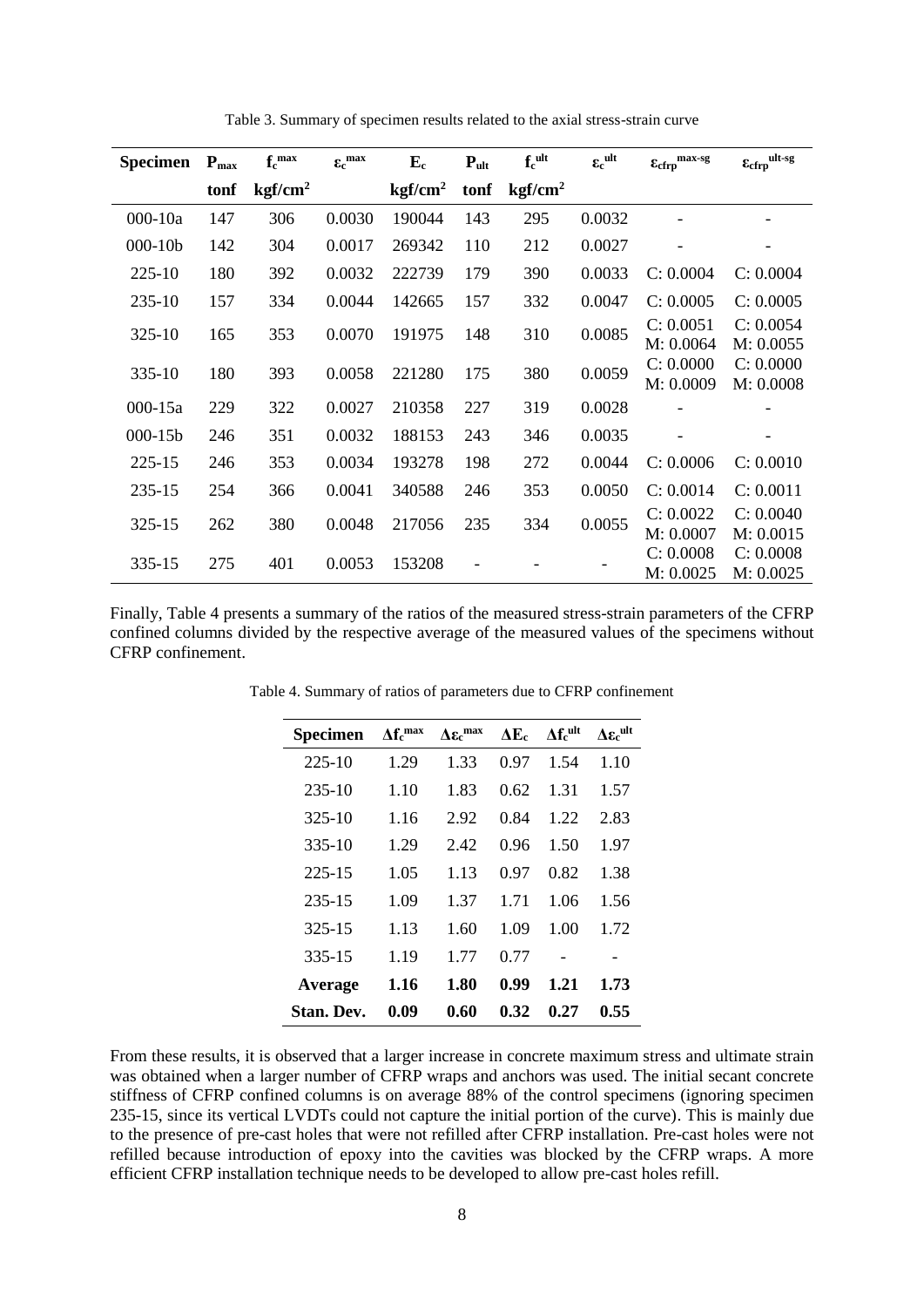| <b>Specimen</b> | $P_{\text{max}}$ | $f_c^{\max}$        | $\epsilon_{\rm c}^{\, \rm max}$ | ${\bf E_c}$         | $P_{ult}$ | $f_c$ ult           | $\epsilon_c$ ult | ${\ensuremath{\mathbf{E}}}_{{\ensuremath{\mathbf{c}}}{\ensuremath{\mathbf{f}}}{\ensuremath{\mathbf{r}}}{\ensuremath{\mathbf{p}}}}^{\mbox{max-sg}}$ | $\epsilon_{cfrp}^{\text{ult-sg}}$ |
|-----------------|------------------|---------------------|---------------------------------|---------------------|-----------|---------------------|------------------|----------------------------------------------------------------------------------------------------------------------------------------------------|-----------------------------------|
|                 | tonf             | kgf/cm <sup>2</sup> |                                 | kgf/cm <sup>2</sup> | tonf      | kgf/cm <sup>2</sup> |                  |                                                                                                                                                    |                                   |
| $000 - 10a$     | 147              | 306                 | 0.0030                          | 190044              | 143       | 295                 | 0.0032           |                                                                                                                                                    |                                   |
| $000 - 10b$     | 142              | 304                 | 0.0017                          | 269342              | 110       | 212                 | 0.0027           |                                                                                                                                                    |                                   |
| 225-10          | 180              | 392                 | 0.0032                          | 222739              | 179       | 390                 | 0.0033           | C: 0.0004                                                                                                                                          | C: 0.0004                         |
| 235-10          | 157              | 334                 | 0.0044                          | 142665              | 157       | 332                 | 0.0047           | C: 0.0005                                                                                                                                          | C: 0.0005                         |
| 325-10          | 165              | 353                 | 0.0070                          | 191975              | 148       | 310                 | 0.0085           | C: 0.0051<br>M: 0.0064                                                                                                                             | C: 0.0054<br>M: 0.0055            |
| 335-10          | 180              | 393                 | 0.0058                          | 221280              | 175       | 380                 | 0.0059           | C: 0.0000<br>M: 0.0009                                                                                                                             | C: 0.0000<br>M: 0.0008            |
| $000 - 15a$     | 229              | 322                 | 0.0027                          | 210358              | 227       | 319                 | 0.0028           |                                                                                                                                                    |                                   |
| $000 - 15b$     | 246              | 351                 | 0.0032                          | 188153              | 243       | 346                 | 0.0035           |                                                                                                                                                    |                                   |
| 225-15          | 246              | 353                 | 0.0034                          | 193278              | 198       | 272                 | 0.0044           | C: 0.0006                                                                                                                                          | C: 0.0010                         |
| 235-15          | 254              | 366                 | 0.0041                          | 340588              | 246       | 353                 | 0.0050           | C: 0.0014                                                                                                                                          | C: 0.0011                         |
| 325-15          | 262              | 380                 | 0.0048                          | 217056              | 235       | 334                 | 0.0055           | C: 0.0022<br>M: 0.0007                                                                                                                             | C: 0.0040<br>M: 0.0015            |
| 335-15          | 275              | 401                 | 0.0053                          | 153208              |           |                     |                  | C: 0.0008<br>M: 0.0025                                                                                                                             | C: 0.0008<br>M: 0.0025            |

Table 3. Summary of specimen results related to the axial stress-strain curve

Finally, Table 4 presents a summary of the ratios of the measured stress-strain parameters of the CFRP confined columns divided by the respective average of the measured values of the specimens without CFRP confinement.

| Specimen          | $\Delta f_c^{max}$ | $\Delta \varepsilon_c^{max}$ | $\Delta E_c$ | $\Delta f_c^{ult}$ | $\Delta \varepsilon_c^{ult}$ |
|-------------------|--------------------|------------------------------|--------------|--------------------|------------------------------|
| $225-10$          | 1.29               | 1.33                         | 0.97         | 1.54               | 1.10                         |
| $235-10$          | 1.10               | 1.83                         | 0.62         | 1.31               | 1.57                         |
| $325-10$          | 1.16               | 2.92                         | 0.84         | 1.22               | 2.83                         |
| 335-10            | 1.29               | 2.42                         | 0.96         | 1.50               | 1.97                         |
| 225-15            | 1.05               | 1.13                         | 0.97         | 0.82               | 1.38                         |
| 235-15            | 1.09               | 1.37                         | 1.71         | 1.06               | 1.56                         |
| 325-15            | 1.13               | 1.60                         | 1.09         | 1.00               | 1.72                         |
| 335-15            | 1.19               | 1.77                         | 0.77         |                    |                              |
| Average           | 1.16               | 1.80                         | 0.99         | 1.21               | 1.73                         |
| <b>Stan. Dev.</b> | 0.09               | 0.60                         | 0.32         | 0.27               | 0.55                         |

Table 4. Summary of ratios of parameters due to CFRP confinement

From these results, it is observed that a larger increase in concrete maximum stress and ultimate strain was obtained when a larger number of CFRP wraps and anchors was used. The initial secant concrete stiffness of CFRP confined columns is on average 88% of the control specimens (ignoring specimen 235-15, since its vertical LVDTs could not capture the initial portion of the curve). This is mainly due to the presence of pre-cast holes that were not refilled after CFRP installation. Pre-cast holes were not refilled because introduction of epoxy into the cavities was blocked by the CFRP wraps. A more efficient CFRP installation technique needs to be developed to allow pre-cast holes refill.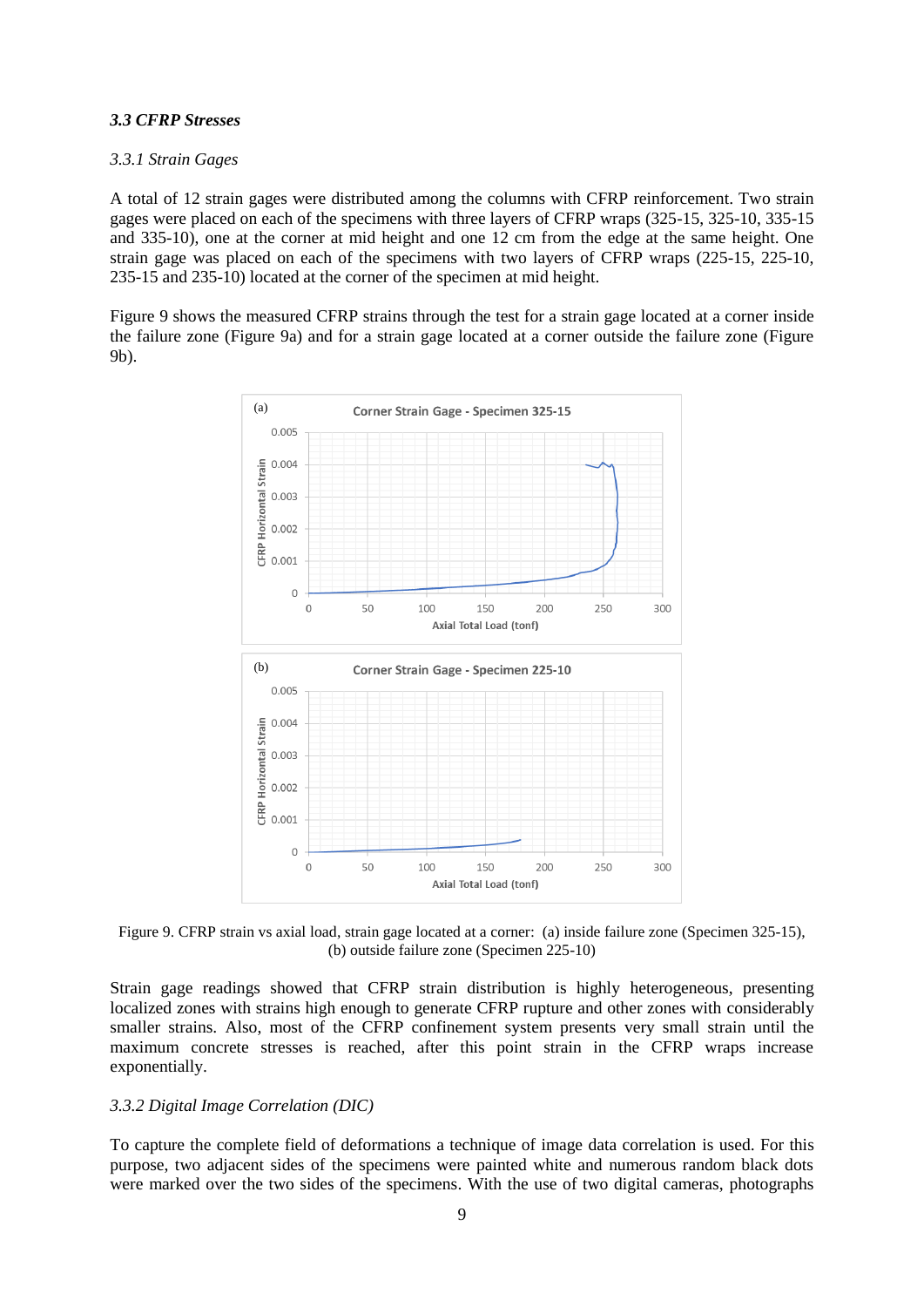#### *3.3 CFRP Stresses*

#### *3.3.1 Strain Gages*

A total of 12 strain gages were distributed among the columns with CFRP reinforcement. Two strain gages were placed on each of the specimens with three layers of CFRP wraps (325-15, 325-10, 335-15 and 335-10), one at the corner at mid height and one 12 cm from the edge at the same height. One strain gage was placed on each of the specimens with two layers of CFRP wraps (225-15, 225-10, 235-15 and 235-10) located at the corner of the specimen at mid height.

Figure 9 shows the measured CFRP strains through the test for a strain gage located at a corner inside the failure zone (Figure 9a) and for a strain gage located at a corner outside the failure zone (Figure 9b).



Figure 9. CFRP strain vs axial load, strain gage located at a corner: (a) inside failure zone (Specimen 325-15), (b) outside failure zone (Specimen 225-10)

Strain gage readings showed that CFRP strain distribution is highly heterogeneous, presenting localized zones with strains high enough to generate CFRP rupture and other zones with considerably smaller strains. Also, most of the CFRP confinement system presents very small strain until the maximum concrete stresses is reached, after this point strain in the CFRP wraps increase exponentially.

#### *3.3.2 Digital Image Correlation (DIC)*

To capture the complete field of deformations a technique of image data correlation is used. For this purpose, two adjacent sides of the specimens were painted white and numerous random black dots were marked over the two sides of the specimens. With the use of two digital cameras, photographs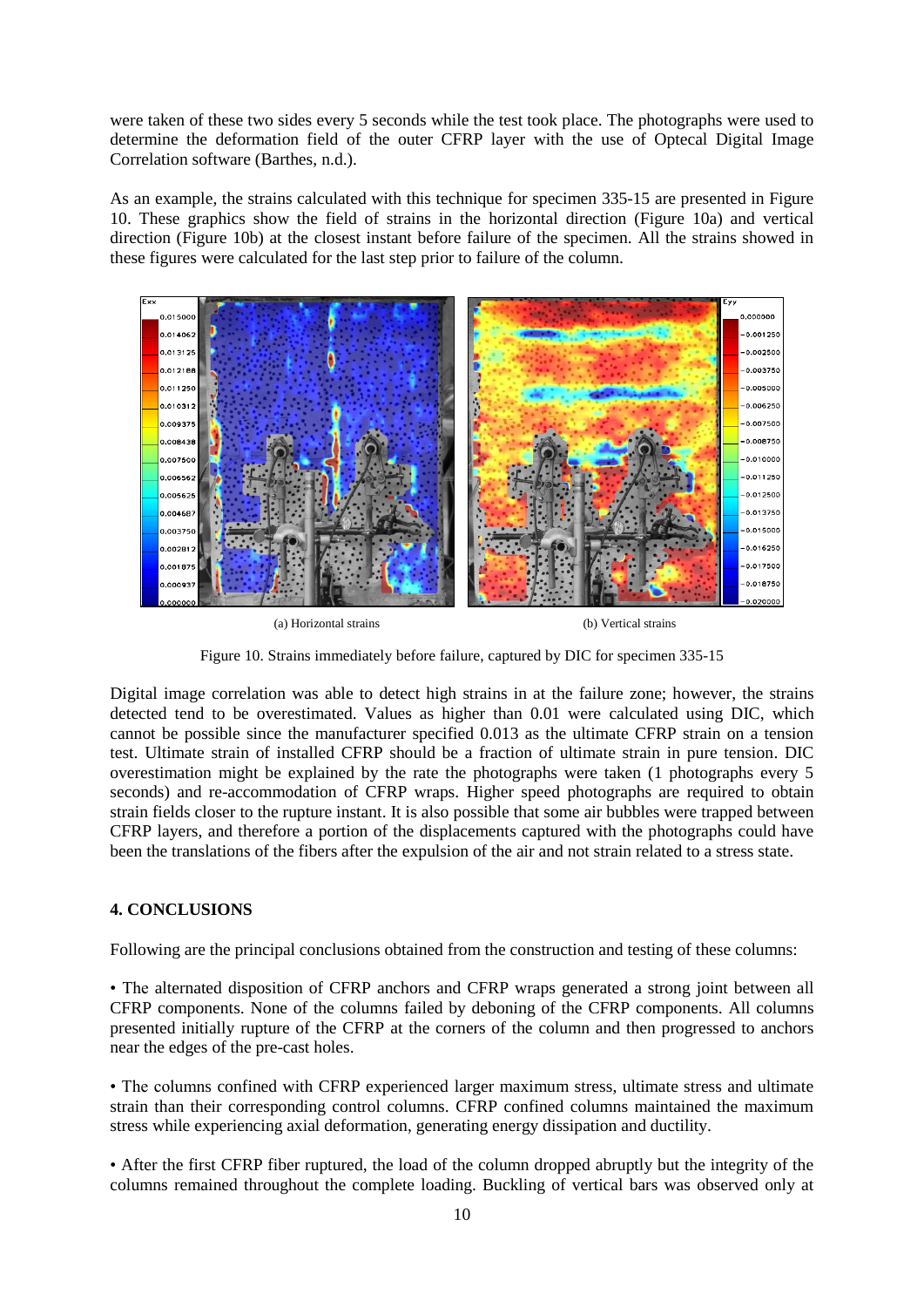were taken of these two sides every 5 seconds while the test took place. The photographs were used to determine the deformation field of the outer CFRP layer with the use of Optecal Digital Image Correlation software (Barthes, n.d.).

As an example, the strains calculated with this technique for specimen 335-15 are presented in Figure 10. These graphics show the field of strains in the horizontal direction (Figure 10a) and vertical direction (Figure 10b) at the closest instant before failure of the specimen. All the strains showed in these figures were calculated for the last step prior to failure of the column.



(a) Horizontal strains (b) Vertical strains

Figure 10. Strains immediately before failure, captured by DIC for specimen 335-15

Digital image correlation was able to detect high strains in at the failure zone; however, the strains detected tend to be overestimated. Values as higher than 0.01 were calculated using DIC, which cannot be possible since the manufacturer specified 0.013 as the ultimate CFRP strain on a tension test. Ultimate strain of installed CFRP should be a fraction of ultimate strain in pure tension. DIC overestimation might be explained by the rate the photographs were taken (1 photographs every 5 seconds) and re-accommodation of CFRP wraps. Higher speed photographs are required to obtain strain fields closer to the rupture instant. It is also possible that some air bubbles were trapped between CFRP layers, and therefore a portion of the displacements captured with the photographs could have been the translations of the fibers after the expulsion of the air and not strain related to a stress state.

## **4. CONCLUSIONS**

Following are the principal conclusions obtained from the construction and testing of these columns:

• The alternated disposition of CFRP anchors and CFRP wraps generated a strong joint between all CFRP components. None of the columns failed by deboning of the CFRP components. All columns presented initially rupture of the CFRP at the corners of the column and then progressed to anchors near the edges of the pre-cast holes.

• The columns confined with CFRP experienced larger maximum stress, ultimate stress and ultimate strain than their corresponding control columns. CFRP confined columns maintained the maximum stress while experiencing axial deformation, generating energy dissipation and ductility.

• After the first CFRP fiber ruptured, the load of the column dropped abruptly but the integrity of the columns remained throughout the complete loading. Buckling of vertical bars was observed only at